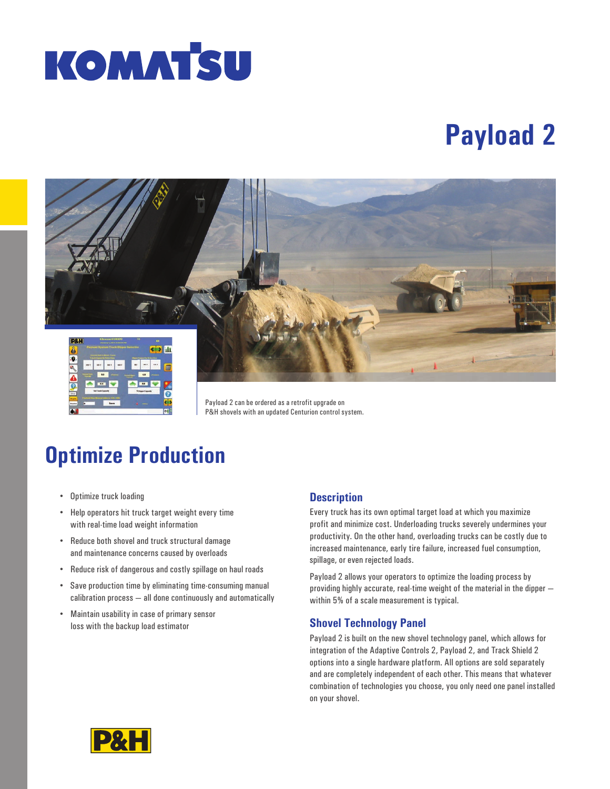

# **Payload 2**



Payload 2 can be ordered as a retrofit upgrade on P&H shovels with an updated Centurion control system.

## **Optimize Production**

- Optimize truck loading
- Help operators hit truck target weight every time with real-time load weight information
- Reduce both shovel and truck structural damage and maintenance concerns caused by overloads
- Reduce risk of dangerous and costly spillage on haul roads
- Save production time by eliminating time-consuming manual calibration process — all done continuously and automatically
- Maintain usability in case of primary sensor loss with the backup load estimator

#### **Description**

Every truck has its own optimal target load at which you maximize profit and minimize cost. Underloading trucks severely undermines your productivity. On the other hand, overloading trucks can be costly due to increased maintenance, early tire failure, increased fuel consumption, spillage, or even rejected loads.

Payload 2 allows your operators to optimize the loading process by providing highly accurate, real-time weight of the material in the dipper within 5% of a scale measurement is typical.

#### **Shovel Technology Panel**

Payload 2 is built on the new shovel technology panel, which allows for integration of the Adaptive Controls 2, Payload 2, and Track Shield 2 options into a single hardware platform. All options are sold separately and are completely independent of each other. This means that whatever combination of technologies you choose, you only need one panel installed on your shovel.